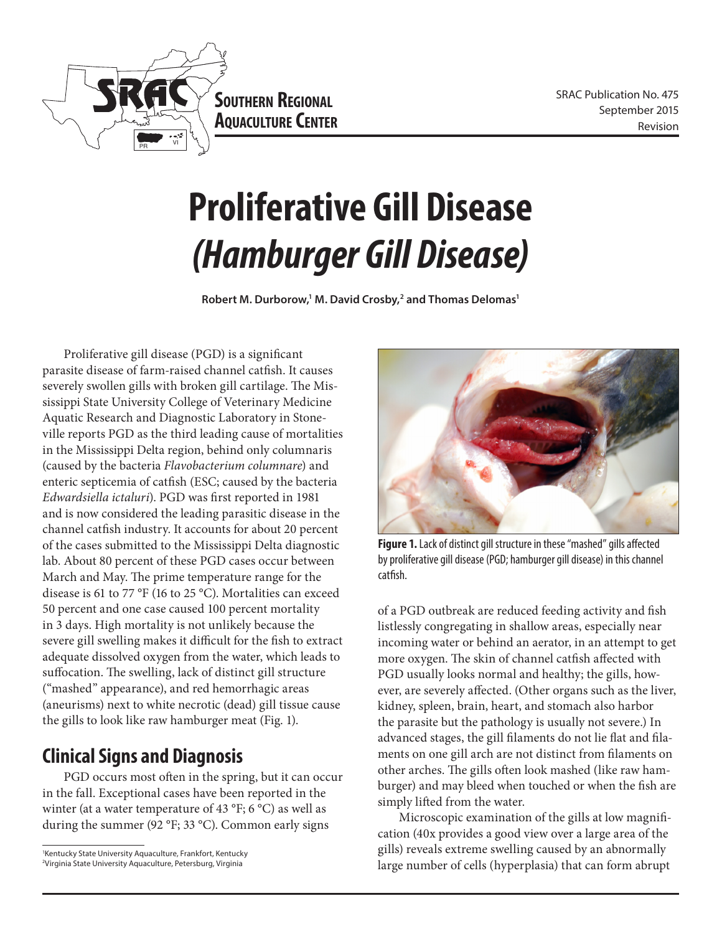

**Southern Regional AQUACULTURE CENTER** 

# **Proliferative Gill Disease** *(Hamburger Gill Disease)*

Robert M. Durborow,<sup>1</sup> M. David Crosby,<sup>2</sup> and Thomas Delomas<sup>1</sup>

Proliferative gill disease (PGD) is a significant parasite disease of farm-raised channel catfish. It causes severely swollen gills with broken gill cartilage. The Mississippi State University College of Veterinary Medicine Aquatic Research and Diagnostic Laboratory in Stoneville reports PGD as the third leading cause of mortalities in the Mississippi Delta region, behind only columnaris (caused by the bacteria *Flavobacterium columnare*) and enteric septicemia of catfish (ESC; caused by the bacteria *Edwardsiella ictaluri*). PGD was first reported in 1981 and is now considered the leading parasitic disease in the channel catfish industry. It accounts for about 20 percent of the cases submitted to the Mississippi Delta diagnostic lab. About 80 percent of these PGD cases occur between March and May. The prime temperature range for the disease is 61 to 77 °F (16 to 25 °C). Mortalities can exceed 50 percent and one case caused 100 percent mortality in 3 days. High mortality is not unlikely because the severe gill swelling makes it difficult for the fish to extract adequate dissolved oxygen from the water, which leads to suffocation. The swelling, lack of distinct gill structure ("mashed" appearance), and red hemorrhagic areas (aneurisms) next to white necrotic (dead) gill tissue cause the gills to look like raw hamburger meat (Fig. 1).

## **Clinical Signs and Diagnosis**

PGD occurs most often in the spring, but it can occur in the fall. Exceptional cases have been reported in the winter (at a water temperature of 43 °F; 6 °C) as well as during the summer (92 °F; 33 °C). Common early signs



Figure 1. Lack of distinct gill structure in these "mashed" gills affected by proliferative gill disease (PGD; hamburger gill disease) in this channel catfish.

of a PGD outbreak are reduced feeding activity and fish listlessly congregating in shallow areas, especially near incoming water or behind an aerator, in an attempt to get more oxygen. The skin of channel catfish affected with PGD usually looks normal and healthy; the gills, however, are severely affected. (Other organs such as the liver, kidney, spleen, brain, heart, and stomach also harbor the parasite but the pathology is usually not severe.) In advanced stages, the gill filaments do not lie flat and filaments on one gill arch are not distinct from filaments on other arches. The gills often look mashed (like raw hamburger) and may bleed when touched or when the fish are simply lifted from the water.

Microscopic examination of the gills at low magnification (40x provides a good view over a large area of the gills) reveals extreme swelling caused by an abnormally large number of cells (hyperplasia) that can form abrupt

<sup>1</sup> Kentucky State University Aquaculture, Frankfort, Kentucky 2 Virginia State University Aquaculture, Petersburg, Virginia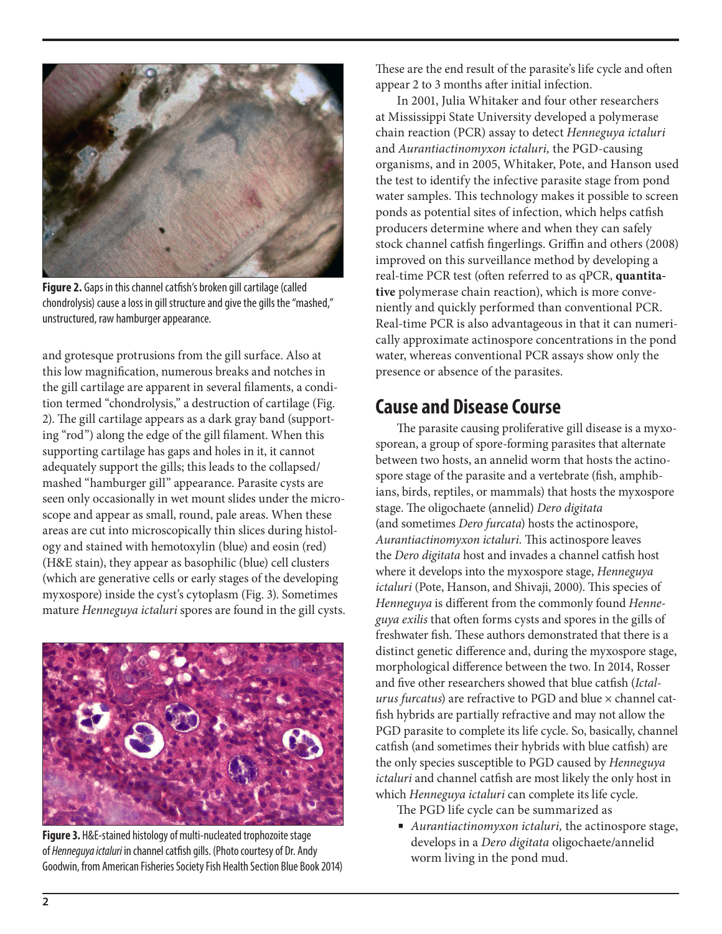

**Figure 2.** Gaps in this channel catfish's broken gill cartilage (called chondrolysis) cause a loss in gill structure and give the gills the "mashed," unstructured, raw hamburger appearance.

and grotesque protrusions from the gill surface. Also at this low magnification, numerous breaks and notches in the gill cartilage are apparent in several filaments, a condition termed "chondrolysis," a destruction of cartilage (Fig. 2). The gill cartilage appears as a dark gray band (supporting "rod") along the edge of the gill filament. When this supporting cartilage has gaps and holes in it, it cannot adequately support the gills; this leads to the collapsed/ mashed "hamburger gill" appearance. Parasite cysts are seen only occasionally in wet mount slides under the microscope and appear as small, round, pale areas. When these areas are cut into microscopically thin slices during histology and stained with hemotoxylin (blue) and eosin (red) (H&E stain), they appear as basophilic (blue) cell clusters (which are generative cells or early stages of the developing myxospore) inside the cyst's cytoplasm (Fig. 3). Sometimes mature *Henneguya ictaluri* spores are found in the gill cysts.



**Figure 3.** H&E-stained histology of multi-nucleated trophozoite stage of *Henneguya ictaluri* in channel catfish gills. (Photo courtesy of Dr. Andy Goodwin, from American Fisheries Society Fish Health Section Blue Book 2014)

These are the end result of the parasite's life cycle and often appear 2 to 3 months after initial infection.

In 2001, Julia Whitaker and four other researchers at Mississippi State University developed a polymerase chain reaction (PCR) assay to detect *Henneguya ictaluri* and *Aurantiactinomyxon ictaluri,* the PGD-causing organisms, and in 2005, Whitaker, Pote, and Hanson used the test to identify the infective parasite stage from pond water samples. This technology makes it possible to screen ponds as potential sites of infection, which helps catfish producers determine where and when they can safely stock channel catfish fingerlings. Griffin and others (2008) improved on this surveillance method by developing a real-time PCR test (often referred to as qPCR, **quantitative** polymerase chain reaction), which is more conveniently and quickly performed than conventional PCR. Real-time PCR is also advantageous in that it can numerically approximate actinospore concentrations in the pond water, whereas conventional PCR assays show only the presence or absence of the parasites.

### **Cause and Disease Course**

The parasite causing proliferative gill disease is a myxosporean, a group of spore-forming parasites that alternate between two hosts, an annelid worm that hosts the actinospore stage of the parasite and a vertebrate (fish, amphibians, birds, reptiles, or mammals) that hosts the myxospore stage. The oligochaete (annelid) *Dero digitata*  (and sometimes *Dero furcata*) hosts the actinospore, *Aurantiactinomyxon ictaluri.* This actinospore leaves the *Dero digitata* host and invades a channel catfish host where it develops into the myxospore stage, *Henneguya ictaluri* (Pote, Hanson, and Shivaji, 2000). This species of *Henneguya* is different from the commonly found *Henneguya exilis* that often forms cysts and spores in the gills of freshwater fish. These authors demonstrated that there is a distinct genetic difference and, during the myxospore stage, morphological difference between the two. In 2014, Rosser and five other researchers showed that blue catfish (*Ictalurus furcatus*) are refractive to PGD and blue  $\times$  channel catfish hybrids are partially refractive and may not allow the PGD parasite to complete its life cycle. So, basically, channel catfish (and sometimes their hybrids with blue catfish) are the only species susceptible to PGD caused by *Henneguya ictaluri* and channel catfish are most likely the only host in which *Henneguya ictaluri* can complete its life cycle.

The PGD life cycle can be summarized as

■ *Aurantiactinomyxon ictaluri*, the actinospore stage, develops in a *Dero digitata* oligochaete/annelid worm living in the pond mud.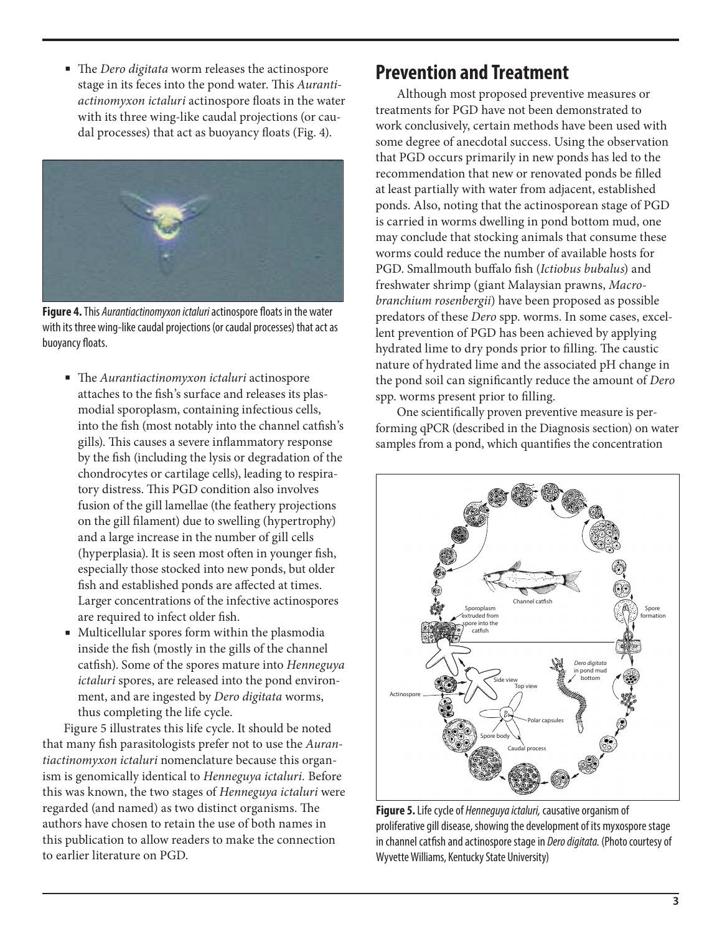■ The *Dero digitata* worm releases the actinospore stage in its feces into the pond water. This *Aurantiactinomyxon ictaluri* actinospore floats in the water with its three wing-like caudal projections (or caudal processes) that act as buoyancy floats (Fig. 4).



**Figure 4.** This *Aurantiactinomyxon ictaluri* actinospore floats in the water with its three wing-like caudal projections (or caudal processes) that act as buoyancy floats.

- The *Aurantiactinomyxon ictaluri* actinospore attaches to the fish's surface and releases its plasmodial sporoplasm, containing infectious cells, into the fish (most notably into the channel catfish's gills). This causes a severe inflammatory response by the fish (including the lysis or degradation of the chondrocytes or cartilage cells), leading to respiratory distress. This PGD condition also involves fusion of the gill lamellae (the feathery projections on the gill filament) due to swelling (hypertrophy) and a large increase in the number of gill cells (hyperplasia). It is seen most often in younger fish, especially those stocked into new ponds, but older fish and established ponds are affected at times. Larger concentrations of the infective actinospores are required to infect older fish.
- Multicellular spores form within the plasmodia inside the fish (mostly in the gills of the channel catfish). Some of the spores mature into *Henneguya ictaluri* spores, are released into the pond environment, and are ingested by *Dero digitata* worms, thus completing the life cycle.

Figure 5 illustrates this life cycle. It should be noted that many fish parasitologists prefer not to use the *Aurantiactinomyxon ictaluri* nomenclature because this organism is genomically identical to *Henneguya ictaluri.* Before this was known, the two stages of *Henneguya ictaluri* were regarded (and named) as two distinct organisms. The authors have chosen to retain the use of both names in this publication to allow readers to make the connection to earlier literature on PGD.

#### **Prevention and Treatment**

Although most proposed preventive measures or treatments for PGD have not been demonstrated to work conclusively, certain methods have been used with some degree of anecdotal success. Using the observation that PGD occurs primarily in new ponds has led to the recommendation that new or renovated ponds be filled at least partially with water from adjacent, established ponds. Also, noting that the actinosporean stage of PGD is carried in worms dwelling in pond bottom mud, one may conclude that stocking animals that consume these worms could reduce the number of available hosts for PGD. Smallmouth buffalo fish (*Ictiobus bubalus*) and freshwater shrimp (giant Malaysian prawns, *Macrobranchium rosenbergii*) have been proposed as possible predators of these *Dero* spp. worms. In some cases, excellent prevention of PGD has been achieved by applying hydrated lime to dry ponds prior to filling. The caustic nature of hydrated lime and the associated pH change in the pond soil can significantly reduce the amount of *Dero* spp. worms present prior to filling.

One scientifically proven preventive measure is performing qPCR (described in the Diagnosis section) on water samples from a pond, which quantifies the concentration



**Figure 5.** Life cycle of *Henneguya ictaluri,* causative organism of proliferative gill disease, showing the development of its myxospore stage in channel catfish and actinospore stage in *Dero digitata.* (Photo courtesy of Wyvette Williams, Kentucky State University)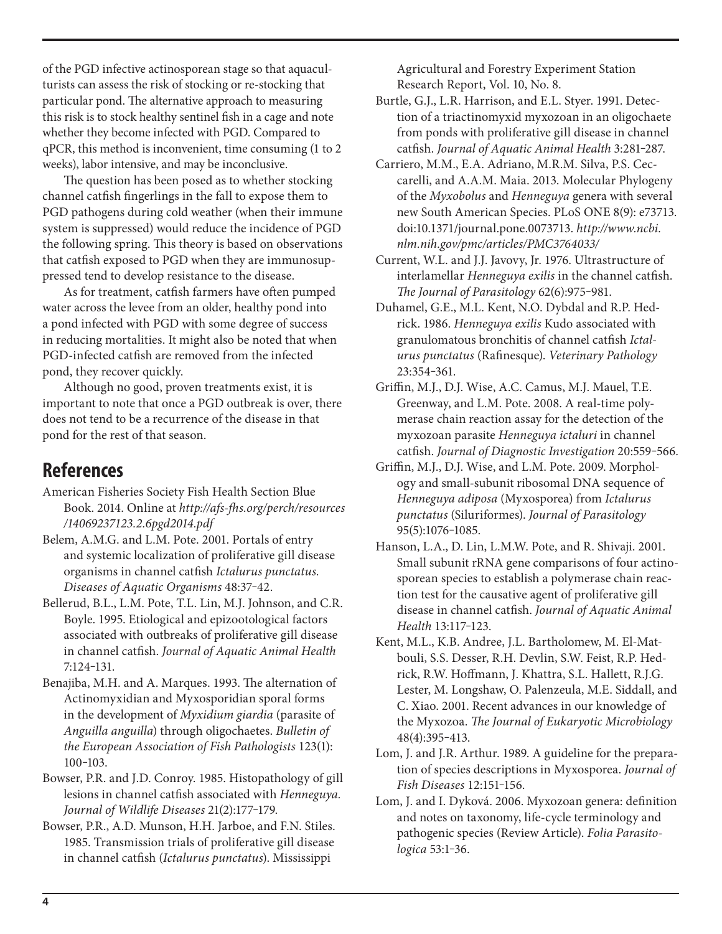of the PGD infective actinosporean stage so that aquaculturists can assess the risk of stocking or re-stocking that particular pond. The alternative approach to measuring this risk is to stock healthy sentinel fish in a cage and note whether they become infected with PGD. Compared to qPCR, this method is inconvenient, time consuming (1 to 2 weeks), labor intensive, and may be inconclusive.

The question has been posed as to whether stocking channel catfish fingerlings in the fall to expose them to PGD pathogens during cold weather (when their immune system is suppressed) would reduce the incidence of PGD the following spring. This theory is based on observations that catfish exposed to PGD when they are immunosuppressed tend to develop resistance to the disease.

As for treatment, catfish farmers have often pumped water across the levee from an older, healthy pond into a pond infected with PGD with some degree of success in reducing mortalities. It might also be noted that when PGD-infected catfish are removed from the infected pond, they recover quickly.

Although no good, proven treatments exist, it is important to note that once a PGD outbreak is over, there does not tend to be a recurrence of the disease in that pond for the rest of that season.

#### **References**

- American Fisheries Society Fish Health Section Blue Book. 2014. Online at *http://afs-fhs.org/perch/resources /14069237123.2.6pgd2014.pdf*
- Belem, A.M.G. and L.M. Pote. 2001. Portals of entry and systemic localization of proliferative gill disease organisms in channel catfish *Ictalurus punctatus. Diseases of Aquatic Organisms* 48:37‒42.
- Bellerud, B.L., L.M. Pote, T.L. Lin, M.J. Johnson, and C.R. Boyle. 1995. Etiological and epizootological factors associated with outbreaks of proliferative gill disease in channel catfish. *Journal of Aquatic Animal Health* 7:124‒131.
- Benajiba, M.H. and A. Marques. 1993. The alternation of Actinomyxidian and Myxosporidian sporal forms in the development of *Myxidium giardia* (parasite of *Anguilla anguilla*) through oligochaetes. *Bulletin of the European Association of Fish Pathologists* 123(1): 100‒103.
- Bowser, P.R. and J.D. Conroy. 1985. Histopathology of gill lesions in channel catfish associated with *Henneguya.*  Journal of Wildlife Diseases 21(2):177-179.
- Bowser, P.R., A.D. Munson, H.H. Jarboe, and F.N. Stiles. 1985. Transmission trials of proliferative gill disease in channel catfish (*Ictalurus punctatus*). Mississippi

Agricultural and Forestry Experiment Station Research Report, Vol. 10, No. 8.

- Burtle, G.J., L.R. Harrison, and E.L. Styer. 1991. Detection of a triactinomyxid myxozoan in an oligochaete from ponds with proliferative gill disease in channel catfish. *Journal of Aquatic Animal Health* 3:281-287.
- Carriero, M.M., E.A. Adriano, M.R.M. Silva, P.S. Ceccarelli, and A.A.M. Maia. 2013. Molecular Phylogeny of the *Myxobolus* and *Henneguya* genera with several new South American Species. PLoS ONE 8(9): e73713. doi:10.1371/journal.pone.0073713. *http://www.ncbi. nlm.nih.gov/pmc/articles/PMC3764033/*
- Current, W.L. and J.J. Javovy, Jr. 1976. Ultrastructure of interlamellar *Henneguya exilis* in the channel catfish. *The Journal of Parasitology* 62(6):975‒981.
- Duhamel, G.E., M.L. Kent, N.O. Dybdal and R.P. Hedrick. 1986. *Henneguya exilis* Kudo associated with granulomatous bronchitis of channel catfish *Ictalurus punctatus* (Rafinesque). *Veterinary Pathology* 23:354‒361.
- Griffin, M.J., D.J. Wise, A.C. Camus, M.J. Mauel, T.E. Greenway, and L.M. Pote. 2008. A real-time polymerase chain reaction assay for the detection of the myxozoan parasite *Henneguya ictaluri* in channel catfish. *Journal of Diagnostic Investigation* 20:559‒566.
- Griffin, M.J., D.J. Wise, and L.M. Pote. 2009. Morphology and small-subunit ribosomal DNA sequence of *Henneguya adiposa* (Myxosporea) from *Ictalurus punctatus* (Siluriformes). *Journal of Parasitology*  95(5):1076‒1085.
- Hanson, L.A., D. Lin, L.M.W. Pote, and R. Shivaji. 2001. Small subunit rRNA gene comparisons of four actinosporean species to establish a polymerase chain reaction test for the causative agent of proliferative gill disease in channel catfish. *Journal of Aquatic Animal Health* 13:117‒123.
- Kent, M.L., K.B. Andree, J.L. Bartholomew, M. El-Matbouli, S.S. Desser, R.H. Devlin, S.W. Feist, R.P. Hedrick, R.W. Hoffmann, J. Khattra, S.L. Hallett, R.J.G. Lester, M. Longshaw, O. Palenzeula, M.E. Siddall, and C. Xiao. 2001. Recent advances in our knowledge of the Myxozoa. *The Journal of Eukaryotic Microbiology* 48(4):395‒413.
- Lom, J. and J.R. Arthur. 1989. A guideline for the preparation of species descriptions in Myxosporea. *Journal of Fish Diseases* 12:151‒156.
- Lom, J. and I. Dyková. 2006. Myxozoan genera: definition and notes on taxonomy, life-cycle terminology and pathogenic species (Review Article). *Folia Parasitologica* 53:1‒36.